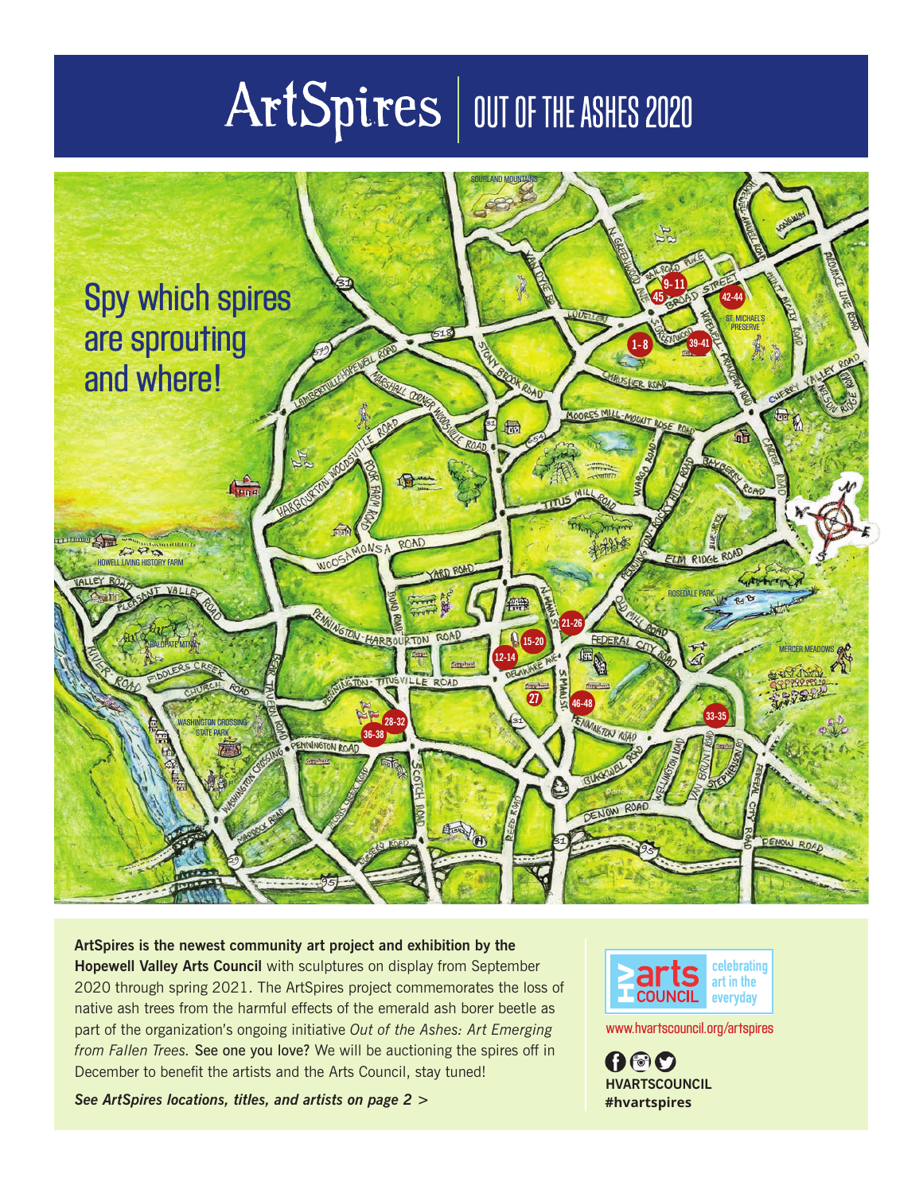# ArtSpires | OUT OF THE ASHES 2020



**ArtSpires is the newest community art project and exhibition by the Hopewell Valley Arts Council** with sculptures on display from September 2020 through spring 2021. The ArtSpires project commemorates the loss of native ash trees from the harmful effects of the emerald ash borer beetle as part of the organization's ongoing initiative *Out of the Ashes: Art Emerging from Fallen Trees.* See one you love? We will be auctioning the spires off in December to benefit the artists and the Arts Council, stay tuned!

*See ArtSpires locations, titles, and artists on page 2 >*



www.hvartscouncil.org/artspires

000 **HVARTSCOUNCIL #hvartspires**